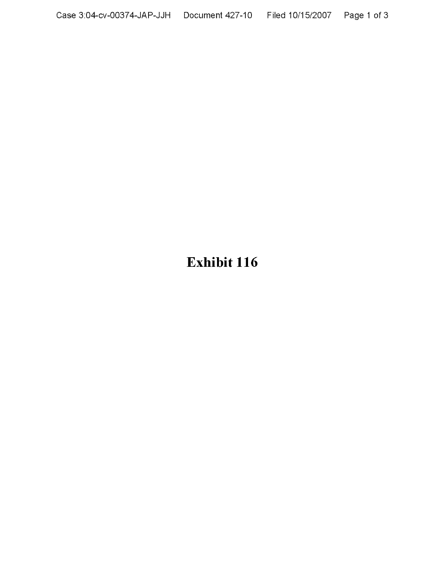# **Exhibit 116**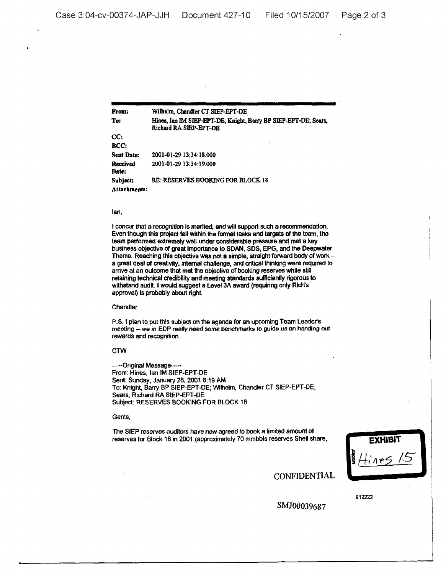From: To: cc: BCC: Sent Date: Received Date: Subjeet: Attachments: Wilhelm, Chandler CT SIEP-EPT-DE Hines, Ian IM SIEP-EPT-DE; Knight. Barry BP SIEP-EPT-DE; Sears, Richard RA SIEP-EPT-DE 2001-01-2913:34:18.000 2001~OI-2913:34:19.000 RE: RESERVES BOOKING FORBLOCK 18

## lan,

I concur that a recognition is merited, and will support such a recommendation. Even though this project fell within the formal tasks and targets of the team, the team performed extremely well under considerable pressure and met a key business objective of great importance to SDAN, SDS, EPG, and the Deepwater Theme. Reaching this objective was not a simple. straight forward body of work a great deal of creativity, internal challenge, and critical thinking were required to arrive at an outcome that met the objective of booking reserves while still retaining technical credibility and meeting standards sufficiently rigorous to withstand audit. I would suggest a Level 3A award (requiring only Rich's approval) is probably about right.

#### **Chandler**

P.5. I plan to put this subject on the agenda for an upcoming Team Leader's meeting - we in EDP really need some benchmarks to guide us on handing out rewards and recognition.

## **CTW**

-Original Message-From: Hines. lan IM SIEP·EPT-DE Sent: Sunday, January 28, 20018:19 AM To: Knight, Barry BP SIEP-EPT-DE; Wilhelm. Chandler CT SIEP~EPT-DE; Sears, Richard RA SIEP-EPT-DE Subject: RESERVES BOOKING FOR BLOCK 18

### Gents,

The StEP reserves auditors have now agreed to book a limited amount of reserves for Block 18 in 2001 (approximately 70 mmbbls reserves Shell share,

| <b>EXHIBIT</b> |  |                    |  |
|----------------|--|--------------------|--|
| <b>Takes</b>   |  | 4<br>$\rightarrow$ |  |
|                |  |                    |  |

**CONFIDENTIAL** 

912222

SMJ00039687